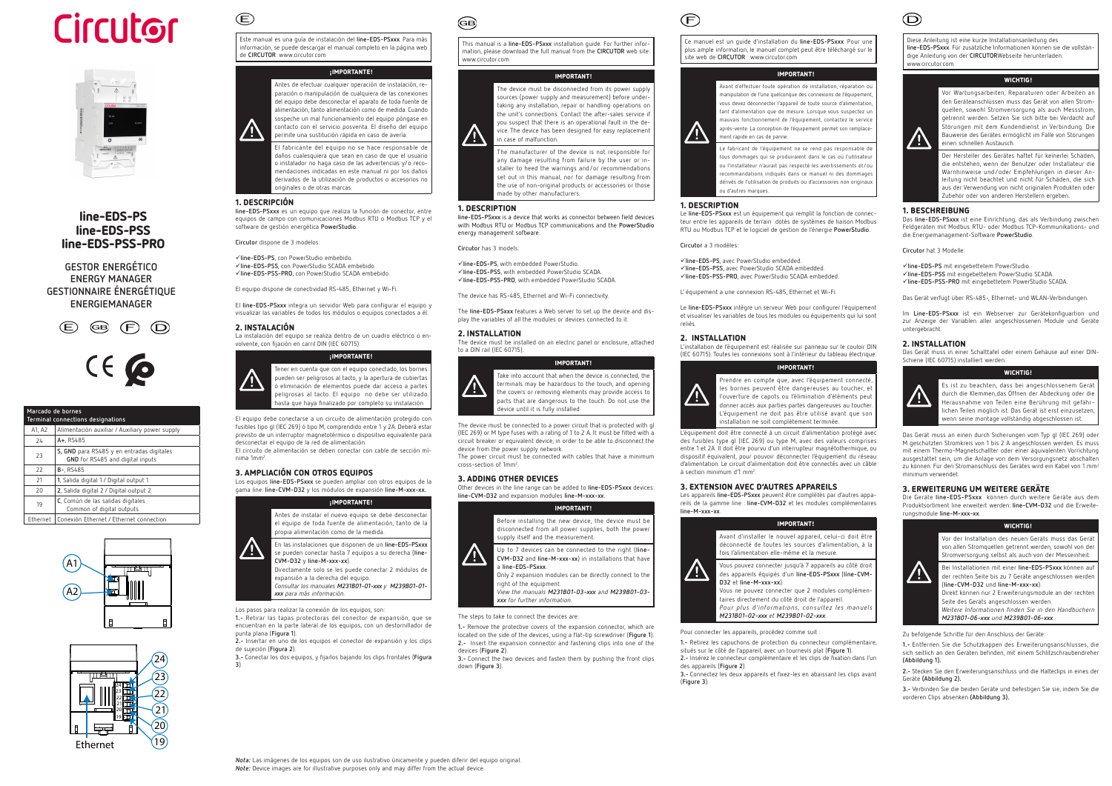



line-EDS-PS line-EDS-PSS line-EDS-PSS-PRO

**GESTOR ENERGÉTICO ENERGY MANAGER GESTIONNAIRE ÉNERGÉTIQUE ENERGIEMANAGER**





Este manual es una guía de instalación del **line-EDS-PSxxx**. Para más información, se puede descargar el manual completo en la página web de **CIRCUTOR**: www.circutor.com

# ¡IMPORTANTE!



El fabricante del equipo no se hace responsable de daños cualesquiera que sean en caso de que el usuario o instalador no haga caso de las advertencias y/o recomendaciones indicadas en este manual ni por los daños derivados de la utilización de productos o accesorios no originales o de otras marcas.

# 1. DESCRIPCIÓN

 $(E)$ 

**line-EDS-PSxxx** es un equipo que realiza la función de conector, entre equipos de campo con comunicaciones Modbus RTU o Modbus TCP y el software de gestión energética **PowerStudio**.

El circuito de alimentación se deben conectar con cable de sección mínima 1mm<sup>2</sup>.

**Circutor** dispone de 3 modelos:

**line-EDS-PS**, con PowerStudio embebido. **line-EDS-PSS**, con PowerStudio SCADA embebido.

**line-EDS-PSS-PRO**, con PowerStudio SCADA embebido.

El equipo dispone de conectividad RS-485, Ethernet y Wi-Fi.

El **line-EDS-PSxxx** integra un servidor Web para configurar el equipo y visualizar las variables de todos los módulos o equipos conectados a él.

## 2. INSTALACIÓN

La instalación del equipo se realiza dentro de un cuadro eléctrico o envolvente, con fijación en carril DIN (IEC 60715).

¡IMPORTANTE!





El equipo debe conectarse a un circuito de alimentación protegido con fusibles tipo gl (IEC 269) ó tipo M, comprendido entre 1 y 2A. Deberá estar previsto de un interruptor magnetotérmico o dispositivo equivalente para desconectar el equipo de la red de alimentación.

# 3. AMPLIACIÓN CON OTROS EQUIPOS

Los equipos **line-EDS-PSxxx** se pueden ampliar con otros equipos de la gama line: **line-CVM-D32** y los módulos de expansión **line-M-xxx-xx.**

#### ¡IMPORTANTE!



The device must be connected to a power circuit that is protected with gl (IEC 269) or M type fuses with a rating of 1 to 2 A. It must be fitted with a circuit breaker or equivalent device, in order to be able to disconnect the device from the power supply network.

se pueden conectar hasta 7 equipos a su derecha (**line-CVM-D32** y **line-M-xxx-xx**).

Directamente solo se les puede conectar 2 módulos de expansión a la derecha del equipo. *Consultar los manuales M231B01-01-xxx y M239B01-01-*

*xxx para más información.* Los pasos para realizar la conexión de los equipos, son:

**1.-** Retirar las tapas protectoras del conector de expansión, que se encuentran en la parte lateral de los equipos, con un destornillador de punta plana (**Figura 1**).

**2.-** Insertar en uno de los equipos el conector de expansión y los clips de sujeción (**Figura 2**).

**3.-** Conectar los dos equipos, y fijarlos bajando los clips frontales (**Figura 3**).

බෙ

This manual is a **line-EDS-PSxxx** installation guide. For further information, please download the full manual from the **CIRCUTOR** web site: www.circutor.com

## IMPORTANT!

The device must be disconnected from its power supply sources (power supply and measurement) before undertaking any installation, repair or handling operations on the unit's connections. Contact the after-sales service if you suspect that there is an operational fault in the device. The device has been designed for easy replacement in case of malfunction.

The manufacturer of the device is not responsible for any damage resulting from failure by the user or installer to heed the warnings and/or recommendations set out in this manual, nor for damage resulting from the use of non-original products or accessories or those made by other manufacturers.

## 1. DESCRIPTION

**line-EDS-PSxxx** is a device that works as connector between field devices with Modbus RTU or Modbus TCP communications and the **PowerStudio**  energy management software.

**Circutor** has 3 models:

**line-EDS-PS**, with embedded PowerStudio. **line-EDS-PSS**, with embedded PowerStudio SCADA. **line-EDS-PSS-PRO**, with embedded PowerStudio SCADA.

The device has RS-485, Ethernet and Wi-Fi connectivity.

The **line-EDS-PSxxx** features a Web server to set up the device and display the variables of all the modules or devices connected to it.

# 2. INSTALLATION

The device must be installed on an electric panel or enclosure, attached to a DIN rail (IEC 60715).

# IMPORTANT!

Take into account that when the device is connected, the terminals may be hazardous to the touch, and opening the covers or removing elements may provide access to parts that are dangerous to the touch. Do not use the device until it is fully installed

The power circuit must be connected with cables that have a minimum cross-section of 1mm2 .

#### 3. ADDING OTHER DEVICES

Other devices in the line range can be added to **line-EDS-PSxxx** devices: **line-CVM-D32** and expansion modules **line-M-xxx-xx**.

IMPORTANT!



right of the equipment. *View the manuals M231B01-03-xxx and M239B01-03 xxx for further information.*

#### The steps to take to connect the devices are:

**1.-** Remove the protective covers of the expansion connector, which are located on the side of the devices, using a flat-tip screwdriver (**Figure 1**). **2.-** Insert the expansion connector and fastening clips into one of the devices (**Figure 2**).

**3.-** Connect the two devices and fasten them by pushing the front clips down (**Figure 3**).

Ce manuel est un guide d'installation du **line-EDS-PSxxx**. Pour une plus ample information, le manuel complet peut être téléchargé sur le site web de **CIRCUTOR** : www.circutor.com

### IMPORTANT!

| ci doit être<br>ıtation, à la |
|-------------------------------|
| u côté droit<br>(line-CVM-    |
| :omplémen-<br>I.              |
| s manuels                     |

Avant d'effectuer toute opération de installation, réparation ou manipulation de l'une quelconque des connexions de l'équipement vous devez déconnecter l'appareil de toute source d'alimentation, tant d'alimentation que de mesure. Lorsque vous suspectez un mauvais fonctionnement de l'équipement, contactez le service après-vente. La conception de l'équipement permet son remplacement rapide en cas de panne.

Le fabricant de l'équipement ne se rend pas responsable de tous dommages qui se produiraient dans le cas où l'utilisateur ou l'installateur n'aurait pas respecté les avertissements et/ou recommandations indiqués dans ce manuel ni des dommages dérivés de l'utilisation de produits ou d'accessoires non originaux ou d'autres marques.

## 1. DESCRIPTION

 $\widehat{F}$ 

Le **line-EDS-PSxxx** est un équipement qui remplit la fonction de connecteur entre les appareils de terrain dotés de systèmes de liaison Modbus RTU ou Modbus TCP et le logiciel de gestion de l'énergie **PowerStudio**.

**Circutor** a 3 modèles:

**line-EDS-PS**, avec PowerStudio embedded. **line-EDS-PSS**, avec PowerStudio SCADA embedded. **line-EDS-PSS-PRO**, avec PowerStudio SCADA embedded.

L' équipement a une connexion RS-485, Ethernet et Wi-Fi.

Le **line-EDS-PSxxx** intègre un serveur Web pour configurer l'équipement et visualiser les variables de tous les modules ou équipements qui lui sont reliés.

# 2. INSTALLATION

L'installation de l'équipement est réalisée sur panneau sur le couloir DIN (IEC 60715). Toutes les connexions sont à l'intérieur du tableau électrique.

#### IMPORTANT!



Prendre en compte que, avec l'équipement connecté, les bornes peuvent être dangereuses au toucher, et l'ouverture de capots ou l'élimination d'éléments peut donner accès aux parties partes dangereuses au toucher. L'équipement ne doit pas être utilisé avant que son installation ne soit complètement terminée.

L'équipement doit être connecté à un circuit d'alimentation protégé avec des fusibles type gl (IEC 269) ou type M, avec des valeurs comprises entre 1 et 2A. Il doit être pourvu d'un interrupteur magnétothermique, ou dispositif équivalent, pour pouvoir déconnecter l'équipement du réseau d'alimentation. Le circuit d'alimentation doit être connectés avec un câble à section minimum d'1 mm2 .

# 3. EXTENSION AVEC D'AUTRES APPAREILS

Les appareils **line-EDS-PSxxx** peuvent être complétés par d'autres appareils de la gamme line : **line-CVM-D32** et les modules complémentaires **line-M-xxx-xx**.



Pour connecter les appareils, procédez comme suit :

**1.-** Retirez les capuchons de protection du connecteur complémentaire, situés sur le côté de l'appareil, avec un tournevis plat (**Figure 1**). **2.-** Insérez le connecteur complémentaire et les clips de fixation dans l'un des appareils (**Figure 2**).

**3.-** Connectez les deux appareils et fixez-les en abaissant les clips avant (**Figure 3**).

Diese Anleitung ist eine kurze Installationsanleitung des **line-EDS-PSxxx**. Für zusätzliche Informationen können sie die vollständige Anleitung von der **CIRCUTOR**Webseite herunterladen: www.circutor.com

# WICHTIG!



 $\circled{D}$ 

Vor Wartungsarbeiten, Reparaturen oder Arbeiten an den Geräteanschlüssen muss das Gerät von allen Stromquellen, sowohl Stromversorgung als auch Messstrom, getrennt werden. Setzen Sie sich bitte bei Verdacht auf Störungen mit dem Kundendienst in Verbindung. Die Bauweise des Gerätes ermöglicht im Falle von Störungen einen schnellen Austausch.

Der Hersteller des Gerätes haftet für keinerlei Schäden, die entstehen, wenn der Benutzer oder Installateur die Warnhinweise und/oder Empfehlungen in dieser Anleitung nicht beachtet und nicht für Schäden, die sich aus der Verwendung von nicht originalen Produkten oder Zubehör oder von anderen Herstellern ergeben.

# 1. BESCHREIBUNG

Das **line-EDS-PSxxx** ist eine Einrichtung, das als Verbindung zwischen Feldgeräten mit Modbus RTU- oder Modbus TCP-Kommunikations- und die Energiemanagement-Software **PowerStudio**.

**Circutor** hat 3 Modelle:

**line-EDS-PS** mit eingebettetem PowerStudio. **line-EDS-PSS** mit eingebettetem PowerStudio SCADA. **line-EDS-PSS-PRO** mit eingebettetem PowerStudio SCADA.

Das Gerät verfügt über RS-485-, Ethernet- und WLAN-Verbindungen.

Im **Line-EDS-PSxxx** ist ein Webserver zur Gerätekonfiguartion und zur Anzeige der Variablen aller angeschlossenen Module und Geräte untergebracht.

## 2. INSTALLATION

Das Gerät muss in einer Schalttafel oder einem Gehäuse auf einer DIN-Schiene (IEC 60715) installiert werden.



WICHTIG!

Es ist zu beachten, dass bei angeschlossenem Gerät durch die Klemmen,das Öffnen der Abdeckung oder die Herausnahme von Teilen eine Berührung mit gefährlichen Teilen möglich ist. Das Gerät ist erst einzusetzen, wenn seine montage vollständig abgeschlossen ist.

Das Gerät muss an einen durch Sicherungen vom Typ gl (IEC 269) oder M geschützten Stromkreis von 1 bis 2 A angeschlossen werden. Es muss mit einem Thermo-Magnetschallter oder einer äquivalenten Vorrichtung ausgestattet sein, um die Anlage von dem Versorgungsnetz abschalten zu können. Für den Stromanschluss des Gerätes wird ein Kabel von 1 mm<sup>2</sup> minimum verwendet.

# 3. ERWEITERUNG UM WEITERE GERÄTE

Die Geräte **line-EDS-PSxxx** können durch weitere Geräte aus dem Produktsortiment line erweitert werden: **line-CVM-D32** und die Erweiterungsmodule **line-M-xxx-xx**.

| WICHTIG!                                                                                                                                                                                                                                                                                                        |
|-----------------------------------------------------------------------------------------------------------------------------------------------------------------------------------------------------------------------------------------------------------------------------------------------------------------|
| Vor der Installation des neuen Geräts muss das Gerät<br>von allen Stromquellen getrennt werden, sowohl von der<br>Stromversorgung selbst als auch von der Messeinheit.                                                                                                                                          |
| Bei Installationen mit einer line-EDS-PSxxx können auf<br>der rechten Seite bis zu 7 Geräte angeschlossen werden<br>(line-CVM-D32 und line-M-xxx-xx).<br>Direkt können nur 2 Erweiterungsmodule an der rechten<br>Seite des Geräts angeschlossen werden.<br>Weitere Informationen finden Sie in den Handbüchern |
| M231B01-06-xxx und M239B01-06-xxx.                                                                                                                                                                                                                                                                              |

Zu befolgende Schritte für den Anschluss der Geräte:

**1.-** Entfernen Sie die Schutzkappen des Erweiterungsanschlusses, die sich seitlich an den Geräten befinden, mit einem Schlitzschraubendreher **(Abbildung 1).** 

**2.-** Stecken Sie den Erweiterungsanschluss und die Halteclips in eines der Geräte **(Abbildung 2).**

**3.-** Verbinden Sie die beiden Geräte und befestigen Sie sie, indem Sie die vorderen Clips absenken **(Abbildung 3).**

| Marcado de bornes<br>Terminal connections designations |                                                                               |  |  |  |  |
|--------------------------------------------------------|-------------------------------------------------------------------------------|--|--|--|--|
| A1, A2                                                 | Alimentación auxiliar / Auxiliary power supply                                |  |  |  |  |
| 24                                                     | A+, RS485                                                                     |  |  |  |  |
| 23                                                     | S, GND para RS485 y en entradas digitales<br>GND for RS485 and digital inputs |  |  |  |  |
| 22                                                     | <b>B-</b> , RS485                                                             |  |  |  |  |
| 21                                                     | 1, Salida digital 1 / Digital output 1                                        |  |  |  |  |
| 20                                                     | 2, Salida digital 2 / Digital output 2                                        |  |  |  |  |
| 19                                                     | C. Común de las salidas digitales<br>Common of digital outputs                |  |  |  |  |
| Ethernet                                               | Conexión Ethernet / Ethernet connection                                       |  |  |  |  |